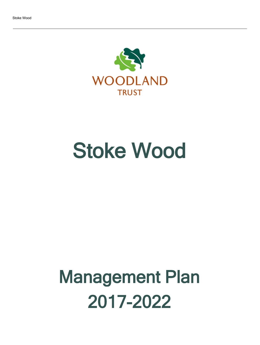

# Stoke Wood

# Management Plan 2017-2022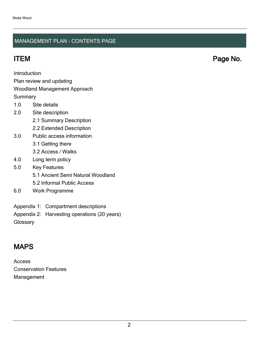## MANAGEMENT PLAN - CONTENTS PAGE

ITEM Page No.

Introduction

Plan review and updating

## Woodland Management Approach

**Summary** 

- 1.0 Site details
- 2.0 Site description
	- 2.1 Summary Description
	- 2.2 Extended Description
- 3.0 Public access information
	- 3.1 Getting there
	- 3.2 Access / Walks
- 4.0 Long term policy
- 5.0 Key Features
	- 5.1 Ancient Semi Natural Woodland
	- 5.2 Informal Public Access
- 6.0 Work Programme
- Appendix 1: Compartment descriptions
- Appendix 2: Harvesting operations (20 years)

**Glossary** 

## MAPS

Access Conservation Features Management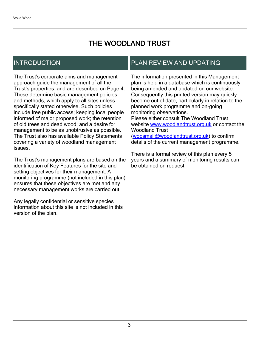## THE WOODLAND TRUST

## INTRODUCTION

The Trust's corporate aims and management approach guide the management of all the Trust's properties, and are described on Page 4. These determine basic management policies and methods, which apply to all sites unless specifically stated otherwise. Such policies include free public access; keeping local people informed of major proposed work; the retention of old trees and dead wood; and a desire for management to be as unobtrusive as possible. The Trust also has available Policy Statements covering a variety of woodland management issues.

The Trust's management plans are based on the identification of Key Features for the site and setting objectives for their management. A monitoring programme (not included in this plan) ensures that these objectives are met and any necessary management works are carried out.

Any legally confidential or sensitive species information about this site is not included in this version of the plan.

## PLAN REVIEW AND UPDATING

The information presented in this Management plan is held in a database which is continuously being amended and updated on our website. Consequently this printed version may quickly become out of date, particularly in relation to the planned work programme and on-going monitoring observations. Please either consult The Woodland Trust website [www.woodlandtrust.org.uk](http://www.woodlandtrust.org.uk/) or contact the Woodland Trust [\(wopsmail@woodlandtrust.org.uk](mailto:wopsmail@woodlandtrust.org.uk)) to confirm

details of the current management programme.

There is a formal review of this plan every 5 years and a summary of monitoring results can be obtained on request.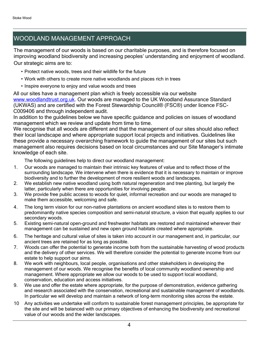## WOODLAND MANAGEMENT APPROACH

The management of our woods is based on our charitable purposes, and is therefore focused on improving woodland biodiversity and increasing peoples' understanding and enjoyment of woodland. Our strategic aims are to:

- Protect native woods, trees and their wildlife for the future
- Work with others to create more native woodlands and places rich in trees
- Inspire everyone to enjoy and value woods and trees

All our sites have a management plan which is freely accessible via our website [www.woodlandtrust.org.uk.](http://www.woodlandtrust.org.uk/) Our woods are managed to the UK Woodland Assurance Standard (UKWAS) and are certified with the Forest Stewardship Council® (FSC®) under licence FSC-C009406 and through independent audit.

In addition to the guidelines below we have specific guidance and policies on issues of woodland management which we review and update from time to time.

We recognise that all woods are different and that the management of our sites should also reflect their local landscape and where appropriate support local projects and initiatives. Guidelines like these provide a necessary overarching framework to guide the management of our sites but such management also requires decisions based on local circumstances and our Site Manager's intimate knowledge of each site.

The following guidelines help to direct our woodland management:

- 1. Our woods are managed to maintain their intrinsic key features of value and to reflect those of the surrounding landscape. We intervene when there is evidence that it is necessary to maintain or improve biodiversity and to further the development of more resilient woods and landscapes.
- 2. We establish new native woodland using both natural regeneration and tree planting, but largely the latter, particularly when there are opportunities for involving people.
- 3. We provide free public access to woods for quiet, informal recreation and our woods are managed to make them accessible, welcoming and safe.
- 4. The long term vision for our non-native plantations on ancient woodland sites is to restore them to predominantly native species composition and semi-natural structure, a vision that equally applies to our secondary woods.
- 5. Existing semi-natural open-ground and freshwater habitats are restored and maintained wherever their management can be sustained and new open ground habitats created where appropriate.
- 6. The heritage and cultural value of sites is taken into account in our management and, in particular, our ancient trees are retained for as long as possible.
- 7. Woods can offer the potential to generate income both from the sustainable harvesting of wood products and the delivery of other services. We will therefore consider the potential to generate income from our estate to help support our aims.
- 8. We work with neighbours, local people, organisations and other stakeholders in developing the management of our woods. We recognise the benefits of local community woodland ownership and management. Where appropriate we allow our woods to be used to support local woodland, conservation, education and access initiatives.
- 9. We use and offer the estate where appropriate, for the purpose of demonstration, evidence gathering and research associated with the conservation, recreational and sustainable management of woodlands. In particular we will develop and maintain a network of long-term monitoring sites across the estate.
- 10 Any activities we undertake will conform to sustainable forest management principles, be appropriate for the site and will be balanced with our primary objectives of enhancing the biodiversity and recreational value of our woods and the wider landscapes.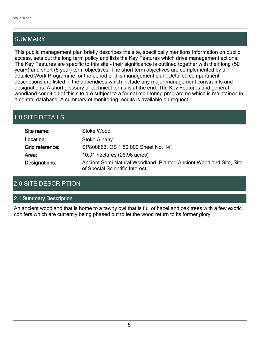## SUMMARY

This public management plan briefly describes the site, specifically mentions information on public access, sets out the long term policy and lists the Key Features which drive management actions. The Key Features are specific to this site - their significance is outlined together with their long (50 year+) and short (5 year) term objectives. The short term objectives are complemented by a detailed Work Programme for the period of this management plan. Detailed compartment descriptions are listed in the appendices which include any major management constraints and designations. A short glossary of technical terms is at the end. The Key Features and general woodland condition of this site are subject to a formal monitoring programme which is maintained in a central database. A summary of monitoring results is available on request.

## 1.0 SITE DETAILS

| Site name:      | Stoke Wood                                                                                           |
|-----------------|------------------------------------------------------------------------------------------------------|
| Location:       | Stoke Albany                                                                                         |
| Grid reference: | SP800863, OS 1:50,000 Sheet No. 141                                                                  |
| Area:           | 10.91 hectares (26.96 acres)                                                                         |
| Designations:   | Ancient Semi Natural Woodland, Planted Ancient Woodland Site, Site<br>of Special Scientific Interest |

## 2.0 SITE DESCRIPTION

## 2.1 Summary Description

An ancient woodland that is home to a tawny owl that is full of hazel and oak trees with a few exotic conifers which are currently being phased out to let the wood return to its former glory.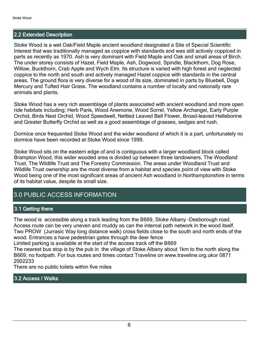## 2.2 Extended Description

Stoke Wood is a wet Oak/Field Maple ancient woodland designated a Site of Special Scientific Interest that was traditionally managed as coppice with standards and was still actively coppiced in parts as recently as 1970. Ash is very dominant with Field Maple and Oak and small areas of Birch. The under storey consists of Hazel, Field Maple, Ash, Dogwood, Spindle, Blackthorn, Dog Rose, Willow, Buckthorn, Crab Apple and Wych Elm. Its structure is varied with high forest and neglected coppice to the north and south and actively managed Hazel coppice with standards in the central areas. The ground flora is very diverse for a wood of its size, dominated in parts by Bluebell, Dogs Mercury and Tufted Hair Grass. The woodland contains a number of locally and nationally rare animals and plants.

Stoke Wood has a very rich assemblage of plants associated with ancient woodland and more open ride habitats including; Herb Paris, Wood Anemone, Wood Sorrel, Yellow Archangel, Early Purple Orchid, Birds Nest Orchid, Wood Speedwell, Nettled Leaved Bell Flower, Broad-leaved Helleborine and Greater Butterfly Orchid as well as a good assemblage of grasses, sedges and rush.

Dormice once frequented Stoke Wood and the wider woodland of which it is a part, unfortunately no dormice have been recorded at Stoke Wood since 1999.

Stoke Wood sits on the eastern edge of and is contiguous with a larger woodland block called Brampton Wood, this wider wooded area is divided up between three landowners, The Woodland Trust, The Wildlife Trust and The Forestry Commission. The areas under Woodland Trust and Wildlife Trust ownership are the most diverse from a habitat and species point of view with Stoke Wood being one of the most significant areas of ancient Ash woodland in Northamptonshire in terms of its habitat value, despite its small size.

## 3.0 PUBLIC ACCESS INFORMATION

## 3.1 Getting there

The wood is accessible along a track leading from the B669, Stoke Albany -Desborough road. Access route can be very uneven and muddy as can the internal path network in the wood itself. Two PROW (Jurrasic Way long distance walk) cross fields close to the south and north ends of the wood. Entrances a have pedestrian gates through the deer fence

Limited parking is available at the start of the access track off the B669

The nearest bus stop is by the pub in the village of Stoke Albany about 1km to the north along the B669, no footpath. For bus routes and times contact Traveline on www.traveline.org.ukor 0871 2002233

There are no public toilets within five miles

## 3.2 Access / Walks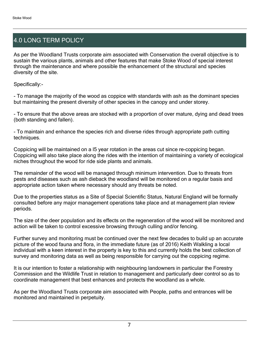## 4.0 LONG TERM POLICY

As per the Woodland Trusts corporate aim associated with Conservation the overall objective is to sustain the various plants, animals and other features that make Stoke Wood of special interest through the maintenance and where possible the enhancement of the structural and species diversity of the site.

Specifically:-

- To manage the majority of the wood as coppice with standards with ash as the dominant species but maintaining the present diversity of other species in the canopy and under storey.

- To ensure that the above areas are stocked with a proportion of over mature, dying and dead trees (both standing and fallen).

- To maintain and enhance the species rich and diverse rides through appropriate path cutting techniques.

Coppicing will be maintained on a l5 year rotation in the areas cut since re-coppicing began. Coppicing will also take place along the rides with the intention of maintaining a variety of ecological niches throughout the wood for ride side plants and animals.

The remainder of the wood will be managed through minimum intervention. Due to threats from pests and diseases such as ash dieback the woodland will be monitored on a regular basis and appropriate action taken where necessary should any threats be noted.

Due to the properties status as a Site of Special Scientific Status, Natural England will be formally consulted before any major management operations take place and at management plan review periods.

The size of the deer population and its effects on the regeneration of the wood will be monitored and action will be taken to control excessive browsing through culling and/or fencing.

Further survey and monitoring must be continued over the next few decades to build up an accurate picture of the wood fauna and flora, in the immediate future (as of 2016) Keith Walkling a local individual with a keen interest in the property is key to this and currently holds the best collection of survey and monitoring data as well as being responsible for carrying out the coppicing regime.

It is our intention to foster a relationship with neighbouring landowners in particular the Forestry Commission and the Wildlife Trust in relation to management and particularly deer control so as to coordinate management that best enhances and protects the woodland as a whole.

As per the Woodland Trusts corporate aim associated with People, paths and entrances will be monitored and maintained in perpetuity.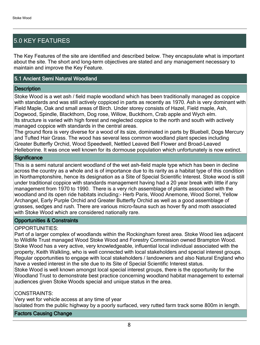## 5.0 KEY FEATURES

The Key Features of the site are identified and described below. They encapsulate what is important about the site. The short and long-term objectives are stated and any management necessary to maintain and improve the Key Feature.

## 5.1 Ancient Semi Natural Woodland

#### **Description**

Stoke Wood is a wet ash / field maple woodland which has been traditionally managed as coppice with standards and was still actively coppiced in parts as recently as 1970. Ash is very dominant with Field Maple, Oak and small areas of Birch. Under storey consists of Hazel, Field maple, Ash, Dogwood, Spindle, Blackthorn, Dog rose, Willow, Buckthorn, Crab apple and Wych elm. Its structure is varied with high forest and neglected coppice to the north and south with actively managed coppice with standards in the central areas.

The ground flora is very diverse for a wood of its size, dominated in parts by Bluebell, Dogs Mercury and Tufted Hair Grass. The wood has several less common woodland plant species including Greater Butterfly Orchid, Wood Speedwell, Nettled Leaved Bell Flower and Broad-Leaved Helleborine. It was once well known for its dormouse population which unfortunately is now extinct.

#### **Significance**

This is a semi natural ancient woodland of the wet ash-field maple type which has been in decline across the country as a whole and is of importance due to its rarity as a habitat type of this condition in Northamptonshire, hence its designation as a Site of Special Scientific Interest. Stoke wood is still under traditional coppice with standards management having had a 20 year break with little if any management from 1970 to 1990. There is a very rich assemblage of plants associated with the woodland and its open ride habitats including:- Herb Paris, Wood Anemone, Wood Sorrel, Yellow Archangel, Early Purple Orchid and Greater Butterfly Orchid as well as a good assemblage of grasses, sedges and rush. There are various micro-fauna such as hover fly and moth associated with Stoke Wood which are considered nationally rare.

#### Opportunities & Constraints

## OPPORTUNITIES:

Part of a larger complex of woodlands within the Rockingham forest area. Stoke Wood lies adjacent to Wildlife Trust managed Wood Stoke Wood and Forestry Commission owned Brampton Wood. Stoke Wood has a very active, very knowledgeable, influential local individual associated with the property, Keith Walkling, who is well connected with local stakeholders and special interest groups. Regular opportunities to engage with local stakeholders / landowners and also Natural England who have a vested interest in the site due to its Site of Special Scientific Interest status.

Stoke Wood is well known amongst local special interest groups, there is the opportunity for the Woodland Trust to demonstrate best practice concerning woodland habitat management to external audiences given Stoke Woods special and unique status in the area.

## CONSTRAINTS:

Very wet for vehicle access at any time of year Isolated from the public highway by a poorly surfaced, very rutted farm track some 800m in length.

#### Factors Causing Change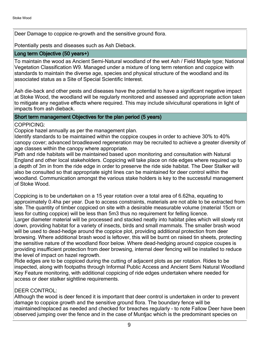Deer Damage to coppice re-growth and the sensitive ground flora.

Potentially pests and diseases such as Ash Dieback.

## Long term Objective (50 years+)

To maintain the wood as Ancient Semi-Natural woodland of the wet Ash / Field Maple type; National Vegetation Classification W9. Managed under a mixture of long term retention and coppice with standards to maintain the diverse age, species and physical structure of the woodland and its associated status as a Site of Special Scientific Interest.

Ash die-back and other pests and diseases have the potential to have a significant negative impact at Stoke Wood, the woodland will be regularly monitored and assessed and appropriate action taken to mitigate any negative effects where required. This may include silvicultural operations in light of impacts from ash dieback.

## Short term management Objectives for the plan period (5 years)

COPPICING:

Coppice hazel annually as per the management plan.

Identify standards to be maintained within the coppice coupes in order to achieve 30% to 40% canopy cover; advanced broadleaved regeneration may be recruited to achieve a greater diversity of age classes within the canopy where appropriate.

Path and ride habitats will be maintained based upon monitoring and consultation with Natural England and other local stakeholders. Coppicing will take place on ride edges where required up to a depth of 3m in from the ride edge in order to preserve the ride side habitat. The Deer Stalker will also be consulted so that appropriate sight lines can be maintained for deer control within the woodland. Communication amongst the various stake holders is key to the successful management of Stoke Wood.

Coppicing is to be undertaken on a 15 year rotation over a total area of 6.62ha, equating to approximately 0.4ha per year. Due to access constraints, materials are not able to be extracted from site. The quantity of timber coppiced on site with a desirable measurable volume (material 15cm or less for cutting coppice) will be less than 5m3 thus no requirement for felling licence.

Larger diameter material will be processed and stacked neatly into habitat piles which will slowly rot down, providing habitat for a variety of insects, birds and small mammals. The smaller brash wood will be used to dead-hedge around the coppice plot, providing additional protection from deer browsing. Where additional brash wood is leftover, this will be burnt on raised tin sheets, protecting the sensitive nature of the woodland floor below. Where dead-hedging around coppice coupes is providing insufficient protection from deer browsing, internal deer fencing will be installed to reduce the level of impact on hazel regrowth.

Ride edges are to be coppiced during the cutting of adjacent plots as per rotation. Rides to be inspected, along with footpaths through Informal Public Access and Ancient Semi Natural Woodland Key Feature monitoring, with additional coppicing of ride edges undertaken where needed for access or deer stalker sightline requirements.

## DEER CONTROL:

Although the wood is deer fenced it is important that deer control is undertaken in order to prevent damage to coppice growth and the sensitive ground flora. The boundary fence will be maintained/replaced as needed and checked for breaches regularly - to note Fallow Deer have been observed jumping over the fence and in the case of Muntjac which is the predominant species on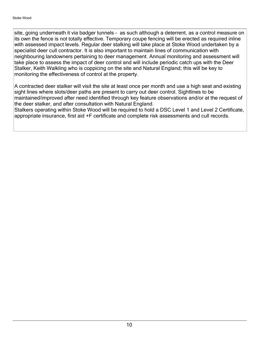site, going underneath it via badger tunnels - as such although a deterrent, as a control measure on its own the fence is not totally effective. Temporary coupe fencing will be erected as required inline with assessed impact levels. Regular deer stalking will take place at Stoke Wood undertaken by a specialist deer cull contractor. It is also important to maintain lines of communication with neighbouring landowners pertaining to deer management. Annual monitoring and assessment will take place to assess the impact of deer control and will include periodic catch ups with the Deer Stalker, Keith Walkling who is coppicing on the site and Natural England; this will be key to monitoring the effectiveness of control at the property.

A contracted deer stalker will visit the site at least once per month and use a high seat and existing sight lines where slots/deer paths are present to carry out deer control. Sightlines to be maintained/improved after need identified through key feature observations and/or at the request of the deer stalker, and after consultation with Natural England.

Stalkers operating within Stoke Wood will be required to hold a DSC Level 1 and Level 2 Certificate, appropriate insurance, first aid +F certificate and complete risk assessments and cull records.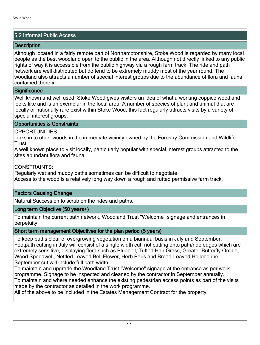## 5.2 Informal Public Access

## **Description**

Although located in a fairly remote part of Northamptonshire, Stoke Wood is regarded by many local people as the best woodland open to the public in the area. Although not directly linked to any public rights of way it is accessible from the public highway via a rough farm track. The ride and path network are well distributed but do tend to be extremely muddy most of the year round. The woodland also attracts a number of special interest groups due to the abundance of flora and fauna contained there in.

## **Significance**

Well known and well used, Stoke Wood gives visitors an idea of what a working coppice woodland looks like and is an exemplar in the local area. A number of species of plant and animal that are locally or nationally rare exist within Stoke Wood, this fact regularly attracts visits by a variety of special interest groups.

## Opportunities & Constraints

## OPPORTUNITIES:

Links in to other woods in the immediate vicinity owned by the Forestry Commission and Wildlife Trust.

A well known place to visit locally, particularly popular with special interest groups attracted to the sites abundant flora and fauna.

CONSTRAINTS:

Regularly wet and muddy paths sometimes can be difficult to negotiate. Access to the wood is a relatively long way down a rough and rutted permissive farm track.

## Factors Causing Change

Natural Succession to scrub on the rides and paths.

## Long term Objective (50 years+)

To maintain the current path network, Woodland Trust "Welcome" signage and entrances in perpetuity.

## Short term management Objectives for the plan period (5 years)

To keep paths clear of overgrowing vegetation on a biannual basis in July and September. Footpath cutting in July will consist of a single width cut, not cutting onto path/ride edges which are extremely sensitive, displaying flora such as Bluebell, Tufted Hair Grass, Greater Butterfly Orchid, Wood Speedwell, Nettled Leaved Bell Flower, Herb Paris and Broad-Leaved Helleborine. September cut will include full path width.

To maintain and upgrade the Woodland Trust "Welcome" signage at the entrance as per work programme. Signage to be inspected and cleaned by the contractor in September annually. To maintain and where needed enhance the existing pedestrian access points as part of the visits made by the contractor as detailed in the work programme.

All of the above to be included in the Estates Management Contract for the property.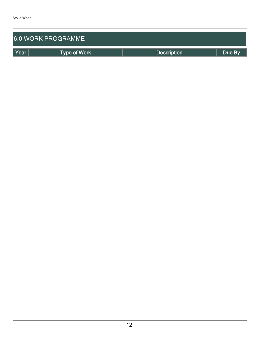| <b>6.0 WORK PROGRAMME</b> |                     |                    |        |  |  |  |
|---------------------------|---------------------|--------------------|--------|--|--|--|
| Year                      | <b>Type of Work</b> | <b>Description</b> | Due By |  |  |  |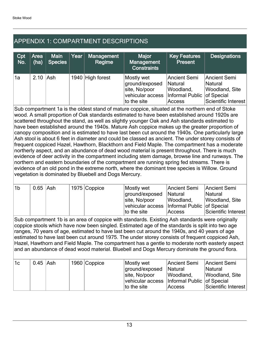## APPENDIX 1: COMPARTMENT DESCRIPTIONS

| Cpt<br>No. | Area<br>(ha) | <b>Main</b><br>Species | Year | <b>Management</b><br>Regime | <b>Major</b><br>Management<br><b>Constraints</b>                                 | <b>Key Features</b><br><b>Present</b>                                        | <b>Designations</b>                                              |
|------------|--------------|------------------------|------|-----------------------------|----------------------------------------------------------------------------------|------------------------------------------------------------------------------|------------------------------------------------------------------|
| 1a         | $2.10$ Ash   |                        |      | 1940 High forest            | Mostly wet<br>ground/exposed<br>site, No/poor<br>vehicular access<br>to the site | Ancient Semi<br>Natural<br>Woodland,<br>Informal Public of Special<br>Access | Ancient Semi<br>Natural<br>Woodland, Site<br>Scientific Interest |

Sub compartment 1a is the oldest stand of mature coppice, situated at the northern end of Stoke wood. A small proportion of Oak standards estimated to have been established around 1920s are scattered throughout the stand, as well as slightly younger Oak and Ash standards estimated to have been established around the 1940s. Mature Ash coppice makes up the greater proportion of canopy composition and is estimated to have last been cut around the 1940s. One particularly large Ash stool is about 6 feet in diameter and could be classed as ancient. The under storey consists of frequent coppiced Hazel, Hawthorn, Blackthorn and Field Maple. The compartment has a moderate northerly aspect, and an abundance of dead wood material is present throughout. There is much evidence of deer activity in the compartment including stem damage, browse line and runways. The northern and eastern boundaries of the compartment are running spring fed streams. There is evidence of an old pond in the extreme north, where the dominant tree species is Willow. Ground vegetation is dominated by Bluebell and Dogs Mercury.

| 1 <sub>b</sub> | $0.65$ Ash |  | 1975 Coppice | Mostly wet                                      | Ancient Semi   | Ancient Semi        |
|----------------|------------|--|--------------|-------------------------------------------------|----------------|---------------------|
|                |            |  |              | ground/exposed                                  | <b>Natural</b> | <b>Natural</b>      |
|                |            |  |              | site, No/poor                                   | Woodland,      | Woodland, Site      |
|                |            |  |              | vehicular access   Informal Public   of Special |                |                     |
|                |            |  |              | to the site                                     | Access         | Scientific Interest |

Sub compartment 1b is an area of coppice with standards. Existing Ash standards were originally coppice stools which have now been singled. Estimated age of the standards is split into two age ranges, 70 years of age, estimated to have last been cut around the 1940s, and 40 years of age estimated to have last been cut around 1975. The under storey consists of frequent coppiced Ash, Hazel, Hawthorn and Field Maple. The compartment has a gentle to moderate north easterly aspect and an abundance of dead wood material. Bluebell and Dogs Mercury dominate the ground flora.

| 1c | $0.45$ Ash |  | 1960 Coppice | Mostly wet                                      | Ancient Semi   | Ancient Semi        |
|----|------------|--|--------------|-------------------------------------------------|----------------|---------------------|
|    |            |  |              | ground/exposed                                  | <b>Natural</b> | <b>Natural</b>      |
|    |            |  |              | site, No/poor                                   | Woodland,      | Woodland, Site      |
|    |            |  |              | vehicular access   Informal Public   of Special |                |                     |
|    |            |  |              | to the site                                     | Access         | Scientific Interest |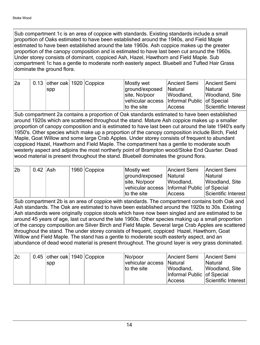Sub compartment 1c is an area of coppice with standards. Existing standards include a small proportion of Oaks estimated to have been established around the 1940s, and Field Maple estimated to have been established around the late 1960s. Ash coppice makes up the greater proportion of the canopy composition and is estimated to have last been cut around the 1960s. Under storey consists of dominant, coppiced Ash, Hazel, Hawthorn and Field Maple. Sub compartment 1c has a gentle to moderate north easterly aspect. Bluebell and Tufted Hair Grass dominate the ground flora.

| l2a | 0.13 other oak 1920 Coppice |  | Mostly wet                                      | Ancient Semi   | Ancient Semi        |
|-----|-----------------------------|--|-------------------------------------------------|----------------|---------------------|
|     | <b>SPP</b>                  |  | ground/exposed                                  | <b>Natural</b> | <b>Natural</b>      |
|     |                             |  | site, No/poor                                   | Woodland,      | Woodland, Site      |
|     |                             |  | vehicular access   Informal Public   of Special |                |                     |
|     |                             |  | to the site                                     | Access         | Scientific Interest |

Sub compartment 2a contains a proportion of Oak standards estimated to have been established around 1920s which are scattered throughout the stand. Mature Ash coppice makes up a smaller proportion of canopy composition and is estimated to have last been cut around the late 1940's early 1950's. Other species which make up a proportion of the canopy composition include Birch, Field Maple, Goat Willow and some large Crab Apples. Under storey consists of frequent to abundant coppiced Hazel, Hawthorn and Field Maple. The compartment has a gentle to moderate south westerly aspect and adjoins the most northerly point of Brampton wood/Stoke End Quarter. Dead wood material is present throughout the stand. Bluebell dominates the ground flora.

| 2b | $0.42$ Ash |  | 1960 Coppice | Mostly wet                                      | Ancient Semi   | Ancient Semi        |
|----|------------|--|--------------|-------------------------------------------------|----------------|---------------------|
|    |            |  |              | ground/exposed                                  | <b>Natural</b> | <b>Natural</b>      |
|    |            |  |              | site, No/poor                                   | Woodland,      | Woodland, Site      |
|    |            |  |              | vehicular access   Informal Public   of Special |                |                     |
|    |            |  |              | to the site                                     | Access         | Scientific Interest |

Sub compartment 2b is an area of coppice with standards. The compartment contains both Oak and Ash standards. The Oak are estimated to have been established around the 1920s to 30s. Existing Ash standards were originally coppice stools which have now been singled and are estimated to be around 45 years of age, last cut around the late 1960s. Other species making up a small proportion of the canopy composition are Silver Birch and Field Maple. Several large Crab Apples are scattered throughout the stand. The under storey consists of frequent, coppiced Hazel, Hawthorn, Goat Willow and Field Maple. The stand has a gentle to moderate south easterly aspect, and an abundance of dead wood material is present throughout. The ground layer is very grass dominated.

| 2c | 0.45   other oak   1940 $ $ Coppice |  | No/poor                   | Ancient Semi Ancient Semi  |                     |
|----|-------------------------------------|--|---------------------------|----------------------------|---------------------|
|    | spp                                 |  | vehicular access  Natural |                            | <b>Natural</b>      |
|    |                                     |  | to the site               | Woodland,                  | Woodland, Site      |
|    |                                     |  |                           | Informal Public of Special |                     |
|    |                                     |  |                           | Access                     | Scientific Interest |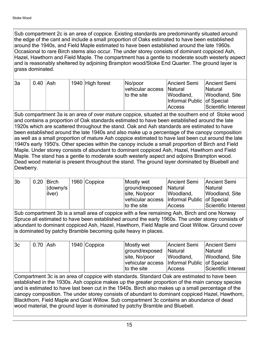Sub compartment 2c is an area of coppice. Existing standards are predominantly situated around the edge of the cant and include a small proportion of Oaks estimated to have been established around the 1940s, and Field Maple estimated to have been established around the late 1960s. Occasional to rare Birch stems also occur. The under storey consists of dominant coppiced Ash, Hazel, Hawthorn and Field Maple. The compartment has a gentle to moderate south westerly aspect and is reasonably sheltered by adjoining Brampton wood/Stoke End Quarter. The ground layer is grass dominated.

| l3a | $0.40$ Ash |  | 1940 High forest | No/poor                    | Ancient Semi                 | Ancient Semi        |
|-----|------------|--|------------------|----------------------------|------------------------------|---------------------|
|     |            |  |                  | vehicular access   Natural |                              | <b>Natural</b>      |
|     |            |  |                  | to the site                | Woodland,                    | Woodland, Site      |
|     |            |  |                  |                            | Informal Public   of Special |                     |
|     |            |  |                  |                            | Access                       | Scientific Interest |

Sub compartment 3a is an area of over mature coppice, situated at the southern end of Stoke wood and contains a proportion of Oak standards estimated to have been established around the late 1920s which are scattered throughout the stand. Oak and Ash standards are estimated to have been established around the late 1940s and also make up a percentage of the canopy composition as well as a small proportion of mature Ash coppice estimated to have last been cut around the late 1940's early 1950's. Other species within the canopy include a small proportion of Birch and Field Maple. Under storey consists of abundant to dominant coppiced Ash, Hazel, Hawthorn and Field Maple. The stand has a gentle to moderate south westerly aspect and adjoins Brampton wood. Dead wood material is present throughout the stand. The ground layer dominated by Bluebell and Dewberry.

| 3 <sub>b</sub> | 0.20 | Birch    | 1960 Coppice | Mostly wet                                      | Ancient Semi   | Ancient Semi          |
|----------------|------|----------|--------------|-------------------------------------------------|----------------|-----------------------|
|                |      | (downy/s |              | ground/exposed                                  | <b>Natural</b> | <b>Natural</b>        |
|                |      | ilver)   |              | site, No/poor                                   | Woodland,      | <b>Woodland, Site</b> |
|                |      |          |              | vehicular access   Informal Public   of Special |                |                       |
|                |      |          |              | to the site                                     | Access         | Scientific Interest   |

Sub compartment 3b is a small area of coppice with a few remaining Ash, Birch and one Norway Spruce all estimated to have been established around the early 1960s. The under storey consists of abundant to dominant coppiced Ash, Hazel, Hawthorn, Field Maple and Goat Willow. Ground cover is dominated by patchy Bramble becoming quite heavy in places.

| 3c | 0.70 Ash |  | 1940 Coppice | Mostly wet                                      | Ancient Semi | Ancient Semi        |
|----|----------|--|--------------|-------------------------------------------------|--------------|---------------------|
|    |          |  |              | ground/exposed                                  | Natural      | <b>Natural</b>      |
|    |          |  |              | site, No/poor                                   | Woodland,    | Woodland, Site      |
|    |          |  |              | vehicular access   Informal Public   of Special |              |                     |
|    |          |  |              | to the site                                     | Access       | Scientific Interest |

Compartment 3c is an area of coppice with standards. Standard Oak are estimated to have been established in the 1930s. Ash coppice makes up the greater proportion of the main canopy species and is estimated to have last been cut in the 1940s. Birch also makes up a small percentage of the canopy composition. The under storey consists of abundant to dominant coppiced Hazel, Hawthorn, Blackthorn, Field Maple and Goat Willow. Sub compartment 3c contains an abundance of dead wood material, the ground layer is dominated by patchy Bramble and Bluebell.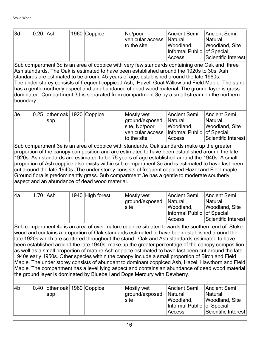| 3d | $0.20$ Ash |  | 1960 Coppice | No/poor<br>vehicular access   Natural<br>to the site | Ancient Semi<br>Woodland,              | Ancient Semi<br><b>Natural</b><br>Woodland, Site |
|----|------------|--|--------------|------------------------------------------------------|----------------------------------------|--------------------------------------------------|
|    |            |  |              |                                                      | Informal Public   of Special<br>Access | Scientific Interest                              |

Sub compartment 3d is an area of coppice with very few standards containing one Oak and three Ash standards. The Oak is estimated to have been established around the 1920s to 30s. Ash standards are estimated to be around 45 years of age, established around the late 1960s. The under storey consists of frequent coppiced Ash, Hazel, Goat Willow and Field Maple. The stand has a gentle northerly aspect and an abundance of dead wood material. The ground layer is grass dominated. Compartment 3d is separated from compartment 3e by a small stream on the northern boundary.

| 3e | $\vert$ 0.25 $\vert$ other oak $\vert$ 1920 $\vert$ Coppice |  | Mostly wet                                      | Ancient Semi   | Ancient Semi        |
|----|-------------------------------------------------------------|--|-------------------------------------------------|----------------|---------------------|
|    | spp                                                         |  | ground/exposed                                  | <b>Natural</b> | <b>Natural</b>      |
|    |                                                             |  | site, No/poor                                   | Woodland,      | Woodland, Site      |
|    |                                                             |  | vehicular access   Informal Public   of Special |                |                     |
|    |                                                             |  | to the site                                     | Access         | Scientific Interest |

Sub compartment 3e is an area of coppice with standards. Oak standards make up the greater proportion of the canopy composition and are estimated to have been established around the late 1920s. Ash standards are estimated to be 75 years of age established around the 1940s. A small proportion of Ash coppice also exists within sub compartment 3e and is estimated to have last been cut around the late 1940s. The under storey consists of frequent coppiced Hazel and Field maple. Ground flora is predominantly grass. Sub compartment 3e has a gentle to moderate southerly aspect and an abundance of dead wood material.

| l4a | $1.70$ Ash |  | 1940 High forest | Mostly wet     | Ancient Semi               | Ancient Semi        |
|-----|------------|--|------------------|----------------|----------------------------|---------------------|
|     |            |  |                  | ground/exposed | <b>Natural</b>             | <b>Natural</b>      |
|     |            |  |                  | site           | Woodland,                  | Woodland, Site      |
|     |            |  |                  |                | Informal Public of Special |                     |
|     |            |  |                  |                | Access                     | Scientific Interest |

Sub compartment 4a is an area of over mature coppice situated towards the southern end of Stoke wood and contains a proportion of Oak standards estimated to have been established around the late 1920s which are scattered throughout the stand. Oak and Ash standards estimated to have been established around the late 1940s make up the greater percentage of the canopy composition as well as a small proportion of mature Ash coppice estimated to have last been cut around the late 1940s early 1950s. Other species within the canopy include a small proportion of Birch and Field Maple. The under storey consists of abundant to dominant coppiced Ash, Hazel, Hawthorn and Field Maple. The compartment has a level lying aspect and contains an abundance of dead wood material the ground layer is dominated by Bluebell and Dogs Mercury with Dewberry.

| 4b | 0.40 other oak 1960 Coppice<br>spp |  | Mostly wet<br>ground/exposed<br>site | Ancient Semi<br>Natural<br>Woodland,<br>Informal Public of Special | Ancient Semi<br><b>Natural</b><br>Woodland, Site |
|----|------------------------------------|--|--------------------------------------|--------------------------------------------------------------------|--------------------------------------------------|
|    |                                    |  |                                      | Access                                                             | Scientific Interest                              |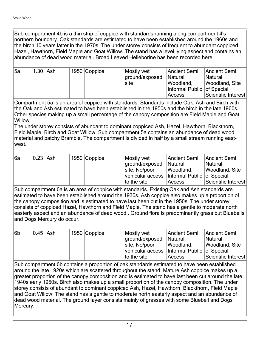Sub compartment 4b is a thin strip of coppice with standards running along compartment 4's northern boundary. Oak standards are estimated to have been established around the 1960s and the birch 10 years latter in the 1970s. The under storey consists of frequent to abundant coppiced Hazel, Hawthorn, Field Maple and Goat Willow. The stand has a level lying aspect and contains an abundance of dead wood material. Broad Leaved Helleborine has been recorded here.

| 15a | 1.30 Ash |  | 1950 Coppice | Mostly wet     | Ancient Semi               | Ancient Semi        |
|-----|----------|--|--------------|----------------|----------------------------|---------------------|
|     |          |  |              | ground/exposed | <b>Natural</b>             | <b>Natural</b>      |
|     |          |  |              | site           | Woodland,                  | Woodland, Site      |
|     |          |  |              |                | Informal Public of Special |                     |
|     |          |  |              |                | Access                     | Scientific Interest |

Compartment 5a is an area of coppice with standards. Standards include Oak, Ash and Birch with the Oak and Ash estimated to have been established in the 1950s and the birch in the late 1960s. Other species making up a small percentage of the canopy composition are Field Maple and Goat Willow.

The under storey consists of abundant to dominant coppiced Ash, Hazel, Hawthorn, Blackthorn, Field Maple, Birch and Goat Willow. Sub compartment 5a contains an abundance of dead wood material and patchy Bramble. The compartment is divided in half by a small stream running eastwest.

| ∣6a | $0.23$ Ash |  | 1950 Coppice | Mostly wet                                      | Ancient Semi   | Ancient Semi        |
|-----|------------|--|--------------|-------------------------------------------------|----------------|---------------------|
|     |            |  |              | ground/exposed                                  | <b>Natural</b> | <b>Natural</b>      |
|     |            |  |              | site, No/poor                                   | Woodland,      | Woodland, Site      |
|     |            |  |              | vehicular access   Informal Public   of Special |                |                     |
|     |            |  |              | to the site                                     | Access         | Scientific Interest |

Sub compartment 6a is an area of coppice with standards. Existing Oak and Ash standards are estimated to have been established around the 1930s. Ash coppice also makes up a proportion of the canopy composition and is estimated to have last been cut in the 1950s. The under storey consists of coppiced Hazel, Hawthorn and Field Maple. The stand has a gentle to moderate north easterly aspect and an abundance of dead wood . Ground flora is predominantly grass but Bluebells and Dogs Mercury do occur.

| 6b | 0.45 Ash |  | 1950 Coppice | Mostly wet                                      | Ancient Semi   | Ancient Semi        |
|----|----------|--|--------------|-------------------------------------------------|----------------|---------------------|
|    |          |  |              | ground/exposed                                  | <b>Natural</b> | <b>Natural</b>      |
|    |          |  |              | site, No/poor                                   | Woodland,      | Woodland, Site      |
|    |          |  |              | vehicular access   Informal Public   of Special |                |                     |
|    |          |  |              | to the site                                     | Access         | Scientific Interest |

Sub compartment 6b contains a proportion of oak standards estimated to have been established around the late 1920s which are scattered throughout the stand. Mature Ash coppice makes up a greater proportion of the canopy composition and is estimated to have last been cut around the late 1940s early 1950s. Birch also makes up a small proportion of the canopy composition. The under storey consists of abundant to dominant coppiced Ash, Hazel, Hawthorn, Blackthorn, Field Maple and Goat Willow. The stand has a gentle to moderate north easterly aspect and an abundance of dead wood material. The ground layer consists mainly of grasses with some Bluebell and Dogs Mercury.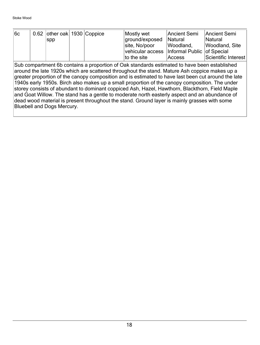| 6c | 0.62 other oak 1930 Coppice |  | Mostly wet                                      | Ancient Semi   | Ancient Semi        |
|----|-----------------------------|--|-------------------------------------------------|----------------|---------------------|
|    | SDD                         |  | ground/exposed                                  | <b>Natural</b> | Natural             |
|    |                             |  | site, No/poor                                   | Woodland,      | Woodland, Site      |
|    |                             |  | vehicular access   Informal Public   of Special |                |                     |
|    |                             |  | to the site                                     | Access         | Scientific Interest |

Sub compartment 6b contains a proportion of Oak standards estimated to have been established around the late 1920s which are scattered throughout the stand. Mature Ash coppice makes up a greater proportion of the canopy composition and is estimated to have last been cut around the late 1940s early 1950s. Birch also makes up a small proportion of the canopy composition. The under storey consists of abundant to dominant coppiced Ash, Hazel, Hawthorn, Blackthorn, Field Maple and Goat Willow. The stand has a gentle to moderate north easterly aspect and an abundance of dead wood material is present throughout the stand. Ground layer is mainly grasses with some Bluebell and Dogs Mercury.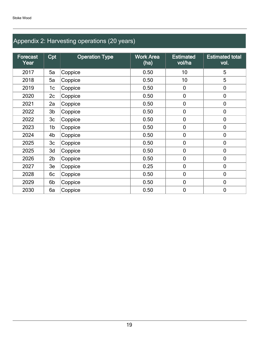## Appendix 2: Harvesting operations (20 years)

| Forecast<br>Year | Cpt            | <b>Operation Type</b> | <b>Work Area</b><br>(ha) | <b>Estimated</b><br>vol/ha | <b>Estimated total</b><br>vol. |
|------------------|----------------|-----------------------|--------------------------|----------------------------|--------------------------------|
| 2017             | 5a             | Coppice               | 0.50                     | 10 <sup>1</sup>            | 5                              |
| 2018             | 5a             | Coppice               | 0.50                     | 10                         | 5                              |
| 2019             | 1c             | Coppice               | 0.50                     | $\mathbf 0$                | $\mathbf 0$                    |
| 2020             | 2c             | Coppice               | 0.50                     | $\mathbf 0$                | $\mathbf 0$                    |
| 2021             | 2a             | Coppice               | 0.50                     | $\boldsymbol{0}$           | $\mathbf 0$                    |
| 2022             | 3 <sub>b</sub> | Coppice               | 0.50                     | $\boldsymbol{0}$           | $\mathbf 0$                    |
| 2022             | 3 <sub>c</sub> | Coppice               | 0.50                     | $\mathbf 0$                | $\mathbf 0$                    |
| 2023             | 1b             | Coppice               | 0.50                     | $\mathbf 0$                | $\mathbf 0$                    |
| 2024             | 4b             | Coppice               | 0.50                     | $\mathbf 0$                | $\mathbf 0$                    |
| 2025             | 3 <sub>c</sub> | Coppice               | 0.50                     | $\mathbf 0$                | $\mathbf 0$                    |
| 2025             | 3d             | Coppice               | 0.50                     | $\mathbf 0$                | $\mathbf 0$                    |
| 2026             | 2 <sub>b</sub> | Coppice               | 0.50                     | $\overline{0}$             | $\overline{0}$                 |
| 2027             | 3e             | Coppice               | 0.25                     | $\mathbf 0$                | $\mathbf 0$                    |
| 2028             | 6c             | Coppice               | 0.50                     | $\mathbf 0$                | $\mathbf 0$                    |
| 2029             | 6b             | Coppice               | 0.50                     | $\mathbf 0$                | $\mathbf 0$                    |
| 2030             | 6a             | Coppice               | 0.50                     | $\mathbf 0$                | $\mathbf 0$                    |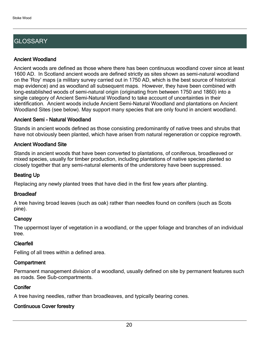## **GLOSSARY**

## Ancient Woodland

Ancient woods are defined as those where there has been continuous woodland cover since at least 1600 AD. In Scotland ancient woods are defined strictly as sites shown as semi-natural woodland on the 'Roy' maps (a military survey carried out in 1750 AD, which is the best source of historical map evidence) and as woodland all subsequent maps. However, they have been combined with long-established woods of semi-natural origin (originating from between 1750 and 1860) into a single category of Ancient Semi-Natural Woodland to take account of uncertainties in their identification. Ancient woods include Ancient Semi-Natural Woodland and plantations on Ancient Woodland Sites (see below). May support many species that are only found in ancient woodland.

## Ancient Semi - Natural Woodland

Stands in ancient woods defined as those consisting predominantly of native trees and shrubs that have not obviously been planted, which have arisen from natural regeneration or coppice regrowth.

## Ancient Woodland Site

Stands in ancient woods that have been converted to plantations, of coniferous, broadleaved or mixed species, usually for timber production, including plantations of native species planted so closely together that any semi-natural elements of the understorey have been suppressed.

## Beating Up

Replacing any newly planted trees that have died in the first few years after planting.

## **Broadleaf**

A tree having broad leaves (such as oak) rather than needles found on conifers (such as Scots pine).

## **Canopy**

The uppermost layer of vegetation in a woodland, or the upper foliage and branches of an individual tree.

## Clearfell

Felling of all trees within a defined area.

## **Compartment**

Permanent management division of a woodland, usually defined on site by permanent features such as roads. See Sub-compartments.

## **Conifer**

A tree having needles, rather than broadleaves, and typically bearing cones.

## Continuous Cover forestry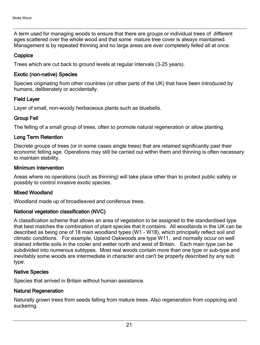A term used for managing woods to ensure that there are groups or individual trees of different ages scattered over the whole wood and that some mature tree cover is always maintained. Management is by repeated thinning and no large areas are ever completely felled all at once.

## **Coppice**

Trees which are cut back to ground levels at regular intervals (3-25 years).

## Exotic (non-native) Species

Species originating from other countries (or other parts of the UK) that have been introduced by humans, deliberately or accidentally.

## Field Layer

Layer of small, non-woody herbaceous plants such as bluebells.

## Group Fell

The felling of a small group of trees, often to promote natural regeneration or allow planting.

## Long Term Retention

Discrete groups of trees (or in some cases single trees) that are retained significantly past their economic felling age. Operations may still be carried out within them and thinning is often necessary to maintain stability.

## Minimum Intervention

Areas where no operations (such as thinning) will take place other than to protect public safety or possibly to control invasive exotic species.

## Mixed Woodland

Woodland made up of broadleaved and coniferous trees.

## National vegetation classification (NVC)

A classification scheme that allows an area of vegetation to be assigned to the standardised type that best matches the combination of plant species that it contains. All woodlands in the UK can be described as being one of 18 main woodland types (W1 - W18), which principally reflect soil and climatic conditions. For example, Upland Oakwoods are type W11, and normally occur on well drained infertile soils in the cooler and wetter north and west of Britain. Each main type can be subdivided into numerous subtypes. Most real woods contain more than one type or sub-type and inevitably some woods are intermediate in character and can't be properly described by any sub type.

## Native Species

Species that arrived in Britain without human assistance.

## Natural Regeneration

Naturally grown trees from seeds falling from mature trees. Also regeneration from coppicing and suckering.